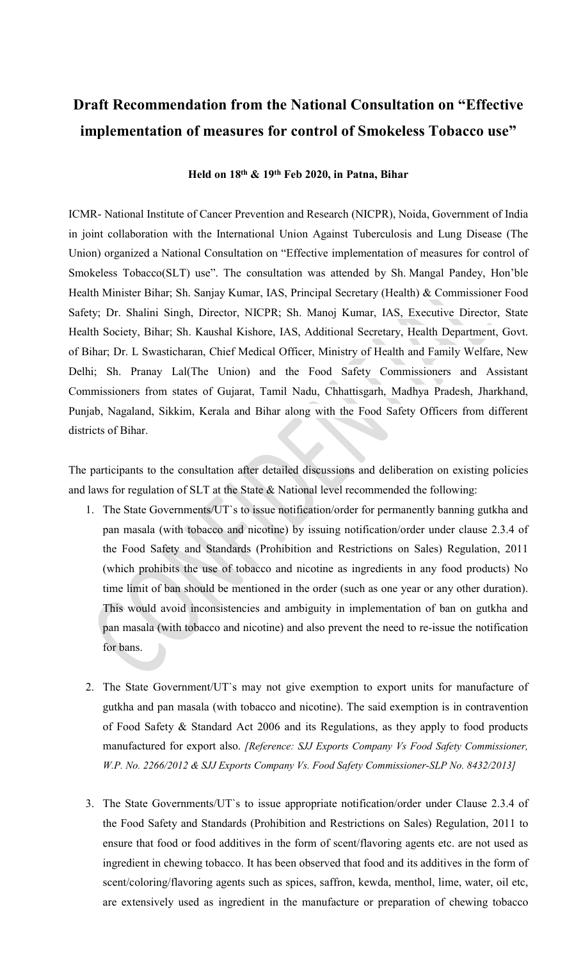## Draft Recommendation from the National Consultation on "Effective implementation of measures for control of Smokeless Tobacco use"

## Held on 18th & 19th Feb 2020, in Patna, Bihar

ICMR- National Institute of Cancer Prevention and Research (NICPR), Noida, Government of India in joint collaboration with the International Union Against Tuberculosis and Lung Disease (The Union) organized a National Consultation on "Effective implementation of measures for control of Smokeless Tobacco(SLT) use". The consultation was attended by Sh. Mangal Pandey, Hon'ble Health Minister Bihar; Sh. Sanjay Kumar, IAS, Principal Secretary (Health) & Commissioner Food Safety; Dr. Shalini Singh, Director, NICPR; Sh. Manoj Kumar, IAS, Executive Director, State Health Society, Bihar; Sh. Kaushal Kishore, IAS, Additional Secretary, Health Department, Govt. of Bihar; Dr. L Swasticharan, Chief Medical Officer, Ministry of Health and Family Welfare, New Delhi; Sh. Pranay Lal(The Union) and the Food Safety Commissioners and Assistant Commissioners from states of Gujarat, Tamil Nadu, Chhattisgarh, Madhya Pradesh, Jharkhand, Punjab, Nagaland, Sikkim, Kerala and Bihar along with the Food Safety Officers from different districts of Bihar.

The participants to the consultation after detailed discussions and deliberation on existing policies and laws for regulation of SLT at the State & National level recommended the following:

- 1. The State Governments/UT`s to issue notification/order for permanently banning gutkha and pan masala (with tobacco and nicotine) by issuing notification/order under clause 2.3.4 of the Food Safety and Standards (Prohibition and Restrictions on Sales) Regulation, 2011 (which prohibits the use of tobacco and nicotine as ingredients in any food products) No time limit of ban should be mentioned in the order (such as one year or any other duration). This would avoid inconsistencies and ambiguity in implementation of ban on gutkha and pan masala (with tobacco and nicotine) and also prevent the need to re-issue the notification for bans.
- 2. The State Government/UT`s may not give exemption to export units for manufacture of gutkha and pan masala (with tobacco and nicotine). The said exemption is in contravention of Food Safety & Standard Act 2006 and its Regulations, as they apply to food products manufactured for export also. [Reference: SJJ Exports Company Vs Food Safety Commissioner, W.P. No. 2266/2012 & SJJ Exports Company Vs. Food Safety Commissioner-SLP No. 8432/2013]
- 3. The State Governments/UT`s to issue appropriate notification/order under Clause 2.3.4 of the Food Safety and Standards (Prohibition and Restrictions on Sales) Regulation, 2011 to ensure that food or food additives in the form of scent/flavoring agents etc. are not used as ingredient in chewing tobacco. It has been observed that food and its additives in the form of scent/coloring/flavoring agents such as spices, saffron, kewda, menthol, lime, water, oil etc, are extensively used as ingredient in the manufacture or preparation of chewing tobacco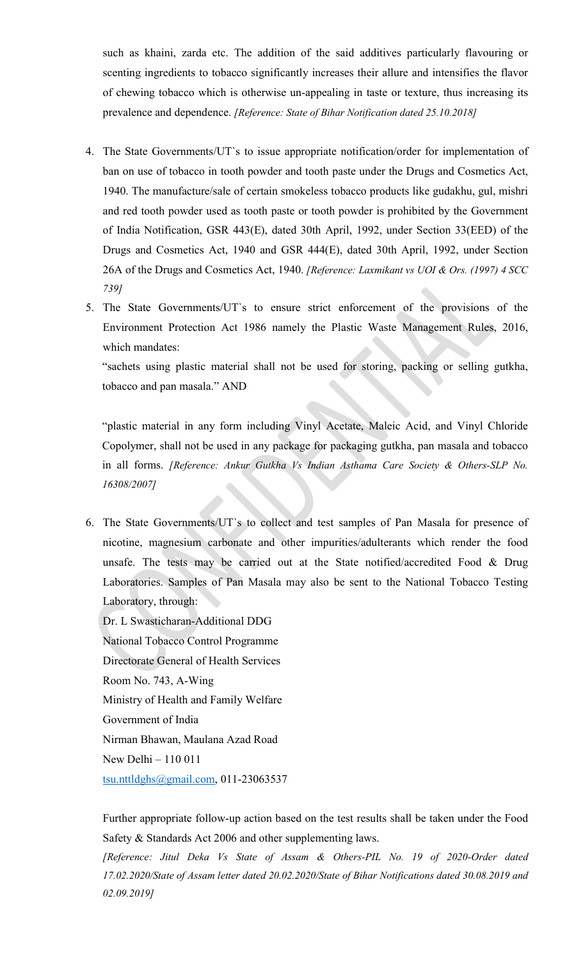such as khaini, zarda etc. The addition of the said additives particularly flavouring or scenting ingredients to tobacco significantly increases their allure and intensifies the flavor of chewing tobacco which is otherwise un-appealing in taste or texture, thus increasing its prevalence and dependence. [Reference: State of Bihar Notification dated 25.10.2018]

- 4. The State Governments/UT`s to issue appropriate notification/order for implementation of ban on use of tobacco in tooth powder and tooth paste under the Drugs and Cosmetics Act, 1940. The manufacture/sale of certain smokeless tobacco products like gudakhu, gul, mishri and red tooth powder used as tooth paste or tooth powder is prohibited by the Government of India Notification, GSR 443(E), dated 30th April, 1992, under Section 33(EED) of the Drugs and Cosmetics Act, 1940 and GSR 444(E), dated 30th April, 1992, under Section 26A of the Drugs and Cosmetics Act, 1940. [Reference: Laxmikant vs UOI & Ors. (1997) 4 SCC 739]
- 5. The State Governments/UT`s to ensure strict enforcement of the provisions of the Environment Protection Act 1986 namely the Plastic Waste Management Rules, 2016, which mandates:

"sachets using plastic material shall not be used for storing, packing or selling gutkha, tobacco and pan masala." AND

"plastic material in any form including Vinyl Acetate, Maleic Acid, and Vinyl Chloride Copolymer, shall not be used in any package for packaging gutkha, pan masala and tobacco in all forms. [Reference: Ankur Gutkha Vs Indian Asthama Care Society & Others-SLP No. 16308/2007]

- 6. The State Governments/UT`s to collect and test samples of Pan Masala for presence of nicotine, magnesium carbonate and other impurities/adulterants which render the food unsafe. The tests may be carried out at the State notified/accredited Food & Drug Laboratories. Samples of Pan Masala may also be sent to the National Tobacco Testing Laboratory, through:
	- Dr. L Swasticharan-Additional DDG National Tobacco Control Programme Directorate General of Health Services Room No. 743, A-Wing Ministry of Health and Family Welfare Government of India Nirman Bhawan, Maulana Azad Road New Delhi – 110 011 tsu.nttldghs@gmail.com, 011-23063537

Further appropriate follow-up action based on the test results shall be taken under the Food Safety & Standards Act 2006 and other supplementing laws.

[Reference: Jitul Deka Vs State of Assam & Others-PIL No. 19 of 2020-Order dated 17.02.2020/State of Assam letter dated 20.02.2020/State of Bihar Notifications dated 30.08.2019 and 02.09.2019]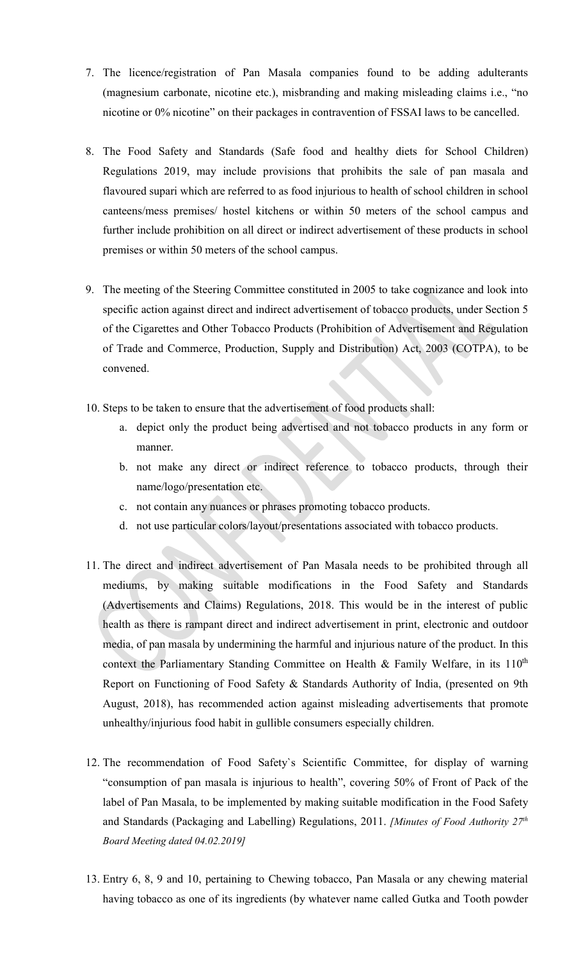- 7. The licence/registration of Pan Masala companies found to be adding adulterants (magnesium carbonate, nicotine etc.), misbranding and making misleading claims i.e., "no nicotine or 0% nicotine" on their packages in contravention of FSSAI laws to be cancelled.
- 8. The Food Safety and Standards (Safe food and healthy diets for School Children) Regulations 2019, may include provisions that prohibits the sale of pan masala and flavoured supari which are referred to as food injurious to health of school children in school canteens/mess premises/ hostel kitchens or within 50 meters of the school campus and further include prohibition on all direct or indirect advertisement of these products in school premises or within 50 meters of the school campus.
- 9. The meeting of the Steering Committee constituted in 2005 to take cognizance and look into specific action against direct and indirect advertisement of tobacco products, under Section 5 of the Cigarettes and Other Tobacco Products (Prohibition of Advertisement and Regulation of Trade and Commerce, Production, Supply and Distribution) Act, 2003 (COTPA), to be convened.
- 10. Steps to be taken to ensure that the advertisement of food products shall:
	- a. depict only the product being advertised and not tobacco products in any form or manner.
	- b. not make any direct or indirect reference to tobacco products, through their name/logo/presentation etc.
	- c. not contain any nuances or phrases promoting tobacco products.
	- d. not use particular colors/layout/presentations associated with tobacco products.
- 11. The direct and indirect advertisement of Pan Masala needs to be prohibited through all mediums, by making suitable modifications in the Food Safety and Standards (Advertisements and Claims) Regulations, 2018. This would be in the interest of public health as there is rampant direct and indirect advertisement in print, electronic and outdoor media, of pan masala by undermining the harmful and injurious nature of the product. In this context the Parliamentary Standing Committee on Health & Family Welfare, in its  $110^{th}$ Report on Functioning of Food Safety & Standards Authority of India, (presented on 9th August, 2018), has recommended action against misleading advertisements that promote unhealthy/injurious food habit in gullible consumers especially children.
- 12. The recommendation of Food Safety`s Scientific Committee, for display of warning "consumption of pan masala is injurious to health", covering 50% of Front of Pack of the label of Pan Masala, to be implemented by making suitable modification in the Food Safety and Standards (Packaging and Labelling) Regulations, 2011. [Minutes of Food Authority  $27<sup>th</sup>$ Board Meeting dated 04.02.2019]
- 13. Entry 6, 8, 9 and 10, pertaining to Chewing tobacco, Pan Masala or any chewing material having tobacco as one of its ingredients (by whatever name called Gutka and Tooth powder